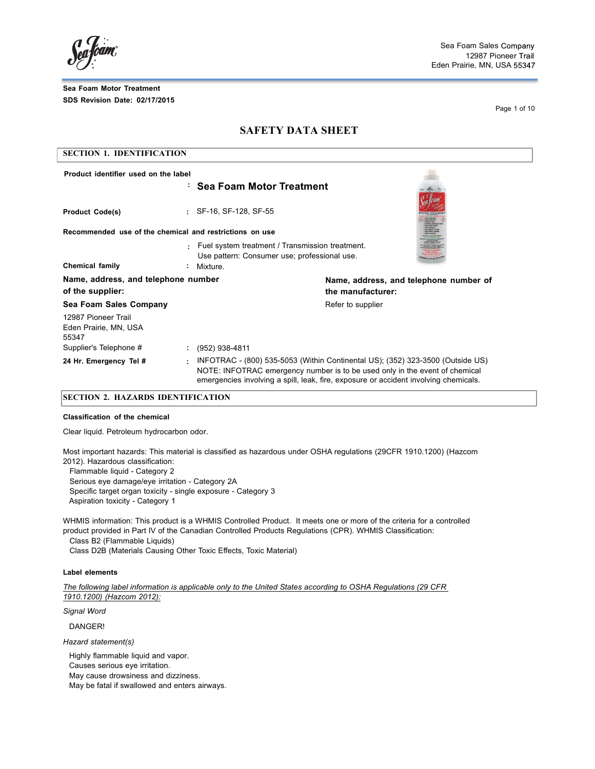**Conficient** 

Page 1 of 10

## **SAFETY DATA SHEET**

| <b>SECTION 1. IDENTIFICATION</b>                        |                                                                                                      |                                                                                                                                                                                                                                                       |  |  |
|---------------------------------------------------------|------------------------------------------------------------------------------------------------------|-------------------------------------------------------------------------------------------------------------------------------------------------------------------------------------------------------------------------------------------------------|--|--|
| Product identifier used on the label                    |                                                                                                      |                                                                                                                                                                                                                                                       |  |  |
|                                                         | : Sea Foam Motor Treatment                                                                           |                                                                                                                                                                                                                                                       |  |  |
| <b>Product Code(s)</b>                                  | : SF-16, SF-128, SF-55                                                                               |                                                                                                                                                                                                                                                       |  |  |
| Recommended use of the chemical and restrictions on use |                                                                                                      |                                                                                                                                                                                                                                                       |  |  |
|                                                         | Fuel system treatment / Transmission treatment.<br>٠<br>Use pattern: Consumer use; professional use. |                                                                                                                                                                                                                                                       |  |  |
| <b>Chemical family</b>                                  | Mixture.                                                                                             |                                                                                                                                                                                                                                                       |  |  |
| Name, address, and telephone number<br>of the supplier: |                                                                                                      | Name, address, and telephone number of<br>the manufacturer:                                                                                                                                                                                           |  |  |
| Sea Foam Sales Company                                  |                                                                                                      | Refer to supplier                                                                                                                                                                                                                                     |  |  |
| 12987 Pioneer Trail<br>Eden Prairie, MN, USA<br>55347   |                                                                                                      |                                                                                                                                                                                                                                                       |  |  |
| Supplier's Telephone #                                  | (952) 938-4811<br>÷.                                                                                 |                                                                                                                                                                                                                                                       |  |  |
| 24 Hr. Emergency Tel #                                  | ٠                                                                                                    | INFOTRAC - (800) 535-5053 (Within Continental US); (352) 323-3500 (Outside US)<br>NOTE: INFOTRAC emergency number is to be used only in the event of chemical<br>emergencies involving a spill, leak, fire, exposure or accident involving chemicals. |  |  |
|                                                         |                                                                                                      |                                                                                                                                                                                                                                                       |  |  |

### **SECTION 2. HAZARDS IDENTIFICATION**

#### **Classification of the chemical**

Clear liquid. Petroleum hydrocarbon odor.

Most important hazards: This material is classified as hazardous under OSHA regulations (29CFR 1910.1200) (Hazcom 2012). Hazardous classification:

Flammable liquid - Category 2 Serious eye damage/eye irritation - Category 2A Specific target organ toxicity - single exposure - Category 3 Aspiration toxicity - Category 1

WHMIS information: This product is a WHMIS Controlled Product. It meets one or more of the criteria for a controlled product provided in Part IV of the Canadian Controlled Products Regulations (CPR). WHMIS Classification:

Class B2 (Flammable Liquids)

Class D2B (Materials Causing Other Toxic Effects, Toxic Material)

### **Label elements**

*The following label information is applicable only to the United States according to OSHA Regulations (29 CFR 1910.1200) (Hazcom 2012):*

*Signal Word*

DANGER!

*Hazard statement(s)*

Highly flammable liquid and vapor. Causes serious eye irritation.

May cause drowsiness and dizziness.

May be fatal if swallowed and enters airways.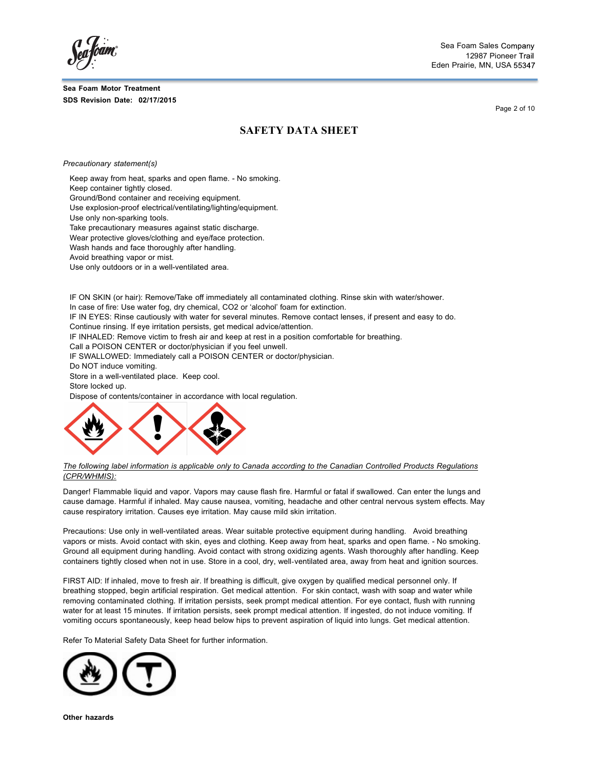Sea Foam Sales 12987 Pioneer Eden Prairie, MN, USA

Page 2 of 10

## **SAFETY DATA SHEET**

*Precautionary statement(s)*

Keep away from heat, sparks and open flame. - No smoking.

Keep container tightly closed.

Ground/Bond container and receiving equipment.

Use explosion-proof electrical/ventilating/lighting/equipment.

Use only non-sparking tools.

Take precautionary measures against static discharge.

Wear protective gloves/clothing and eye/face protection.

Wash hands and face thoroughly after handling.

Avoid breathing vapor or mist.

Use only outdoors or in a well-ventilated area.

IF ON SKIN (or hair): Remove/Take off immediately all contaminated clothing. Rinse skin with water/shower.

In case of fire: Use water fog, dry chemical, CO2 or 'alcohol' foam for extinction.

IF IN EYES: Rinse cautiously with water for several minutes. Remove contact lenses, if present and easy to do.

Continue rinsing. If eye irritation persists, get medical advice/attention.

IF INHALED: Remove victim to fresh air and keep at rest in a position comfortable for breathing.

Call a POISON CENTER or doctor/physician if you feel unwell.

IF SWALLOWED: Immediately call a POISON CENTER or doctor/physician.

Do NOT induce vomiting.

Store in a well-ventilated place. Keep cool.

Store locked up.

Dispose of contents/container in accordance with local regulation.



The following label information is applicable only to Canada according to the Canadian Controlled Products Regulations *(CPR/WHMIS):*

Danger! Flammable liquid and vapor. Vapors may cause flash fire. Harmful or fatal if swallowed. Can enter the lungs and cause damage. Harmful if inhaled. May cause nausea, vomiting, headache and other central nervous system effects. May cause respiratory irritation. Causes eye irritation. May cause mild skin irritation.

Precautions: Use only in well-ventilated areas. Wear suitable protective equipment during handling. Avoid breathing vapors or mists. Avoid contact with skin, eyes and clothing. Keep away from heat, sparks and open flame. - No smoking. Ground all equipment during handling. Avoid contact with strong oxidizing agents. Wash thoroughly after handling. Keep containers tightly closed when not in use. Store in a cool, dry, well-ventilated area, away from heat and ignition sources.

FIRST AID: If inhaled, move to fresh air. If breathing is difficult, give oxygen by qualified medical personnel only. If breathing stopped, begin artificial respiration. Get medical attention. For skin contact, wash with soap and water while removing contaminated clothing. If irritation persists, seek prompt medical attention. For eye contact, flush with running water for at least 15 minutes. If irritation persists, seek prompt medical attention. If ingested, do not induce vomiting. If vomiting occurs spontaneously, keep head below hips to prevent aspiration of liquid into lungs. Get medical attention.

Refer To Material Safety Data Sheet for further information.



**Other hazards**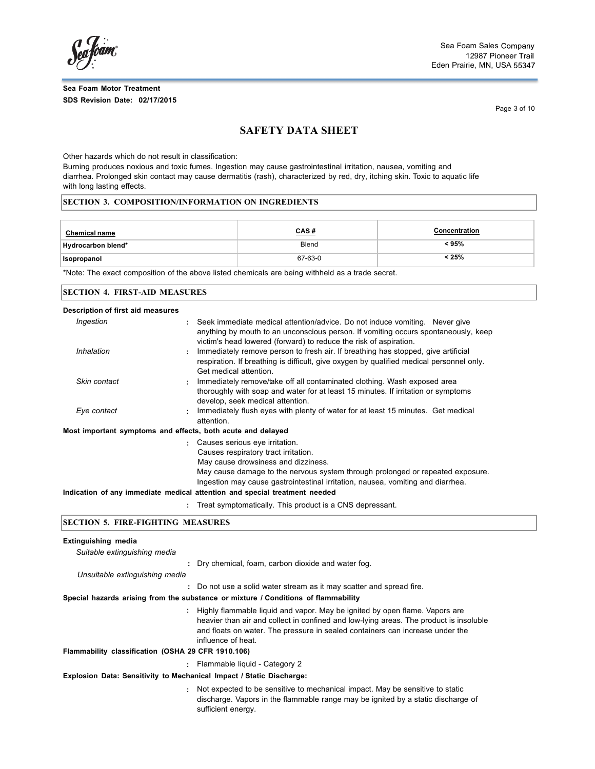fóam

Page 3 of 10

## **SAFETY DATA SHEET**

Other hazards which do not result in classification:

Burning produces noxious and toxic fumes. Ingestion may cause gastrointestinal irritation, nausea, vomiting and diarrhea. Prolonged skin contact may cause dermatitis (rash), characterized by red, dry, itching skin. Toxic to aquatic life with long lasting effects.

#### **SECTION 3. COMPOSITION/INFORMATION ON INGREDIENTS**

| <b>Chemical name</b> | <u>CAS#</u> | <b>Concentration</b> |
|----------------------|-------------|----------------------|
| Hydrocarbon blend*   | Blend       | < 95%                |
| Isopropanol          | 67-63-0     | < 25%                |

\*Note: The exact composition of the above listed chemicals are being withheld as a trade secret.

#### **SECTION 4. FIRST-AID MEASURES**

| Description of first aid measures                           |                                                                                                                                                                                                                                                                                                                                                                    |
|-------------------------------------------------------------|--------------------------------------------------------------------------------------------------------------------------------------------------------------------------------------------------------------------------------------------------------------------------------------------------------------------------------------------------------------------|
| Ingestion                                                   | : Seek immediate medical attention/advice. Do not induce vomiting. Never give<br>anything by mouth to an unconscious person. If vomiting occurs spontaneously, keep<br>victim's head lowered (forward) to reduce the risk of aspiration.                                                                                                                           |
| Inhalation                                                  | Immediately remove person to fresh air. If breathing has stopped, give artificial<br>÷<br>respiration. If breathing is difficult, give oxygen by qualified medical personnel only.<br>Get medical attention.                                                                                                                                                       |
| Skin contact                                                | Immediately remove/take off all contaminated clothing. Wash exposed area<br>÷<br>thoroughly with soap and water for at least 15 minutes. If irritation or symptoms<br>develop, seek medical attention.                                                                                                                                                             |
| Eye contact                                                 | Immediately flush eyes with plenty of water for at least 15 minutes. Get medical<br>÷<br>attention.                                                                                                                                                                                                                                                                |
| Most important symptoms and effects, both acute and delayed |                                                                                                                                                                                                                                                                                                                                                                    |
|                                                             | : Causes serious eye irritation.<br>Causes respiratory tract irritation.<br>May cause drowsiness and dizziness.<br>May cause damage to the nervous system through prolonged or repeated exposure.<br>Ingestion may cause gastrointestinal irritation, nausea, vomiting and diarrhea.<br>Indication of any immediate medical attention and special treatment needed |
|                                                             | : Treat symptomatically. This product is a CNS depressant.                                                                                                                                                                                                                                                                                                         |

sufficient energy.

### **SECTION 5. FIRE-FIGHTING MEASURES**

### **Extinguishing media** *Suitable extinguishing media* **:** Dry chemical, foam, carbon dioxide and water fog. *Unsuitable extinguishing media* **:** Do not use a solid water stream as it may scatter and spread fire. **Special hazards arising from the substance or mixture / Conditions of flammability :** Highly flammable liquid and vapor. May be ignited by open flame. Vapors are heavier than air and collect in confined and low-lying areas. The product is insoluble and floats on water. The pressure in sealed containers can increase under the influence of heat. **Flammability classification (OSHA 29 CFR 1910.106) :** Flammable liquid - Category 2 **Explosion Data: Sensitivity to Mechanical Impact / Static Discharge: :** Not expected to be sensitive to mechanical impact. May be sensitive to static discharge. Vapors in the flammable range may be ignited by a static discharge of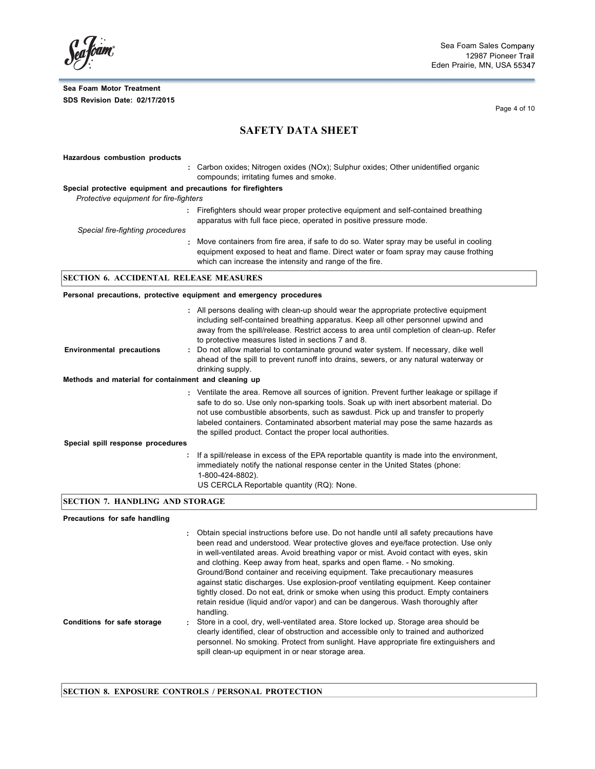Page 4 of 10

## **SAFETY DATA SHEET**

### **Hazardous combustion products :** Carbon oxides; Nitrogen oxides (NOx); Sulphur oxides; Other unidentified organic compounds; irritating fumes and smoke. **Special protective equipment and precautions for firefighters** *Protective equipment for fire-fighters* **:** Firefighters should wear proper protective equipment and self-contained breathing apparatus with full face piece, operated in positive pressure mode. *Special fire-fighting procedures* **:** Move containers from fire area, if safe to do so. Water spray may be useful in cooling equipment exposed to heat and flame. Direct water or foam spray may cause frothing which can increase the intensity and range of the fire. **SECTION 6. ACCIDENTAL RELEASE MEASURES Personal precautions, protective equipment and emergency procedures :** All persons dealing with clean-up should wear the appropriate protective equipment **Environmental precautions :** including self-contained breathing apparatus. Keep all other personnel upwind and away from the spill/release. Restrict access to area until completion of clean-up. Refer to protective measures listed in sections 7 and 8. Do not allow material to contaminate ground water system. If necessary, dike well ahead of the spill to prevent runoff into drains, sewers, or any natural waterway or

**:** Ventilate the area. Remove all sources of ignition. Prevent further leakage or spillage if

safe to do so. Use only non-sparking tools. Soak up with inert absorbent material. Do not use combustible absorbents, such as sawdust. Pick up and transfer to properly labeled containers. Contaminated absorbent material may pose the same hazards as

**:** If a spill/release in excess of the EPA reportable quantity is made into the environment, immediately notify the national response center in the United States (phone:

drinking supply.

1-800-424-8802).

## US CERCLA Reportable quantity (RQ): None. **SECTION 7. HANDLING AND STORAGE**

**Methods and material for containment and cleaning up**

#### **Precautions for safe handling**

**Special spill response procedures**

|                             | : Obtain special instructions before use. Do not handle until all safety precautions have<br>been read and understood. Wear protective gloves and eye/face protection. Use only<br>in well-ventilated areas. Avoid breathing vapor or mist. Avoid contact with eyes, skin<br>and clothing. Keep away from heat, sparks and open flame. - No smoking.<br>Ground/Bond container and receiving equipment. Take precautionary measures<br>against static discharges. Use explosion-proof ventilating equipment. Keep container<br>tightly closed. Do not eat, drink or smoke when using this product. Empty containers<br>retain residue (liquid and/or vapor) and can be dangerous. Wash thoroughly after<br>handling. |
|-----------------------------|---------------------------------------------------------------------------------------------------------------------------------------------------------------------------------------------------------------------------------------------------------------------------------------------------------------------------------------------------------------------------------------------------------------------------------------------------------------------------------------------------------------------------------------------------------------------------------------------------------------------------------------------------------------------------------------------------------------------|
| Conditions for safe storage | : Store in a cool, dry, well-ventilated area. Store locked up. Storage area should be<br>clearly identified, clear of obstruction and accessible only to trained and authorized<br>personnel. No smoking. Protect from sunlight. Have appropriate fire extinguishers and<br>spill clean-up equipment in or near storage area.                                                                                                                                                                                                                                                                                                                                                                                       |

the spilled product. Contact the proper local authorities.

#### **SECTION 8. EXPOSURE CONTROLS / PERSONAL PROTECTION**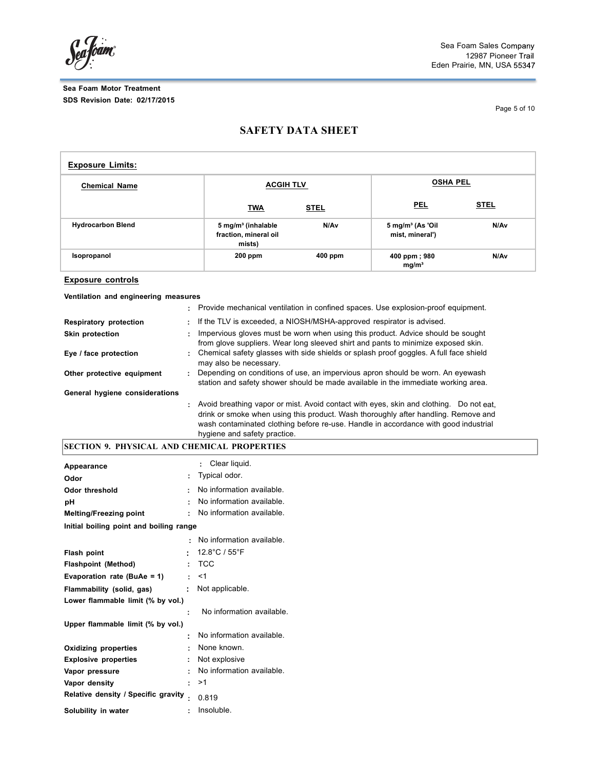SeaJoam

Page 5 of 10

# **SAFETY DATA SHEET**

| <b>Exposure Limits:</b>  |                                                                   |         |                                                |             |  |
|--------------------------|-------------------------------------------------------------------|---------|------------------------------------------------|-------------|--|
| <b>Chemical Name</b>     | <b>ACGIH TLV</b>                                                  |         | <b>OSHA PEL</b>                                |             |  |
|                          | <b>TWA</b>                                                        | STEL    | <b>PEL</b>                                     | <b>STEL</b> |  |
| <b>Hydrocarbon Blend</b> | 5 mg/m <sup>3</sup> (inhalable<br>fraction, mineral oil<br>mists) | N/Av    | $5 \text{ mg/m}^3$ (As 'Oil<br>mist, mineral') | N/Av        |  |
| Isopropanol              | $200$ ppm                                                         | 400 ppm | 400 ppm; 980<br>mg/m <sup>3</sup>              | N/Av        |  |

### **Exposure controls**

**Ventilation and engineering measures**

|                                |   | : Provide mechanical ventilation in confined spaces. Use explosion-proof equipment.                                                                                                                                                                                                                   |
|--------------------------------|---|-------------------------------------------------------------------------------------------------------------------------------------------------------------------------------------------------------------------------------------------------------------------------------------------------------|
| <b>Respiratory protection</b>  |   | : If the TLV is exceeded, a NIOSH/MSHA-approved respirator is advised.                                                                                                                                                                                                                                |
| Skin protection                |   | Impervious gloves must be worn when using this product. Advice should be sought<br>from glove suppliers. Wear long sleeved shirt and pants to minimize exposed skin.                                                                                                                                  |
| Eye / face protection          |   | : Chemical safety glasses with side shields or splash proof goggles. A full face shield<br>may also be necessary.                                                                                                                                                                                     |
| Other protective equipment     | ٠ | Depending on conditions of use, an impervious apron should be worn. An eyewash<br>station and safety shower should be made available in the immediate working area.                                                                                                                                   |
| General hygiene considerations |   |                                                                                                                                                                                                                                                                                                       |
|                                |   | : Avoid breathing vapor or mist. Avoid contact with eyes, skin and clothing. Do not eat.<br>drink or smoke when using this product. Wash thoroughly after handling. Remove and<br>wash contaminated clothing before re-use. Handle in accordance with good industrial<br>hygiene and safety practice. |

# **SECTION 9. PHYSICAL AND CHEMICAL PROPERTIES**

| Appearance                              |           | Clear liquid.<br>÷                 |
|-----------------------------------------|-----------|------------------------------------|
| Odor                                    | ÷         | Typical odor.                      |
| <b>Odor threshold</b>                   |           | No information available.          |
| рH                                      |           | No information available.          |
| <b>Melting/Freezing point</b>           |           | No information available.          |
| Initial boiling point and boiling range |           |                                    |
|                                         |           | $\cdot$ No information available.  |
| <b>Flash point</b>                      |           | $12.8^{\circ}$ C / 55 $^{\circ}$ F |
| <b>Flashpoint (Method)</b>              |           | : TCC                              |
| Evaporation rate (BuAe = 1)             |           | $\cdot$ <1                         |
| Flammability (solid, gas)               |           | $\therefore$ Not applicable.       |
| Lower flammable limit (% by vol.)       |           |                                    |
|                                         | ÷         | No information available.          |
| Upper flammable limit (% by vol.)       |           |                                    |
|                                         |           | No information available.          |
| <b>Oxidizing properties</b>             |           | : None known.                      |
| <b>Explosive properties</b>             |           | : Not explosive                    |
| Vapor pressure                          |           | No information available.          |
| Vapor density                           |           | : >1                               |
| Relative density / Specific gravity     | $\bullet$ | 0.819                              |
| Solubility in water                     | ÷         | Insoluble.                         |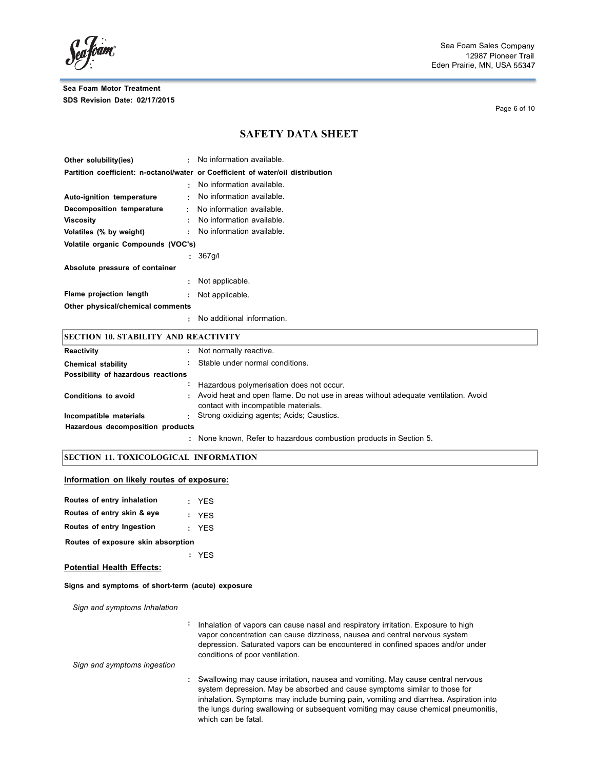Page 6 of 10

## **SAFETY DATA SHEET**

| Other solubility(ies)              | No information available.                                                       |
|------------------------------------|---------------------------------------------------------------------------------|
|                                    | Partition coefficient: n-octanol/water or Coefficient of water/oil distribution |
|                                    | No information available                                                        |
| Auto-ignition temperature          | No information available.                                                       |
| Decomposition temperature<br>÷.    | No information available.                                                       |
| <b>Viscosity</b>                   | No information available.                                                       |
| Volatiles (% by weight)<br>÷       | No information available.                                                       |
| Volatile organic Compounds (VOC's) |                                                                                 |
|                                    | 367q/l                                                                          |
| Absolute pressure of container     |                                                                                 |
| ÷                                  | Not applicable.                                                                 |
| Flame projection length            | Not applicable.                                                                 |
| Other physical/chemical comments   |                                                                                 |
|                                    | No additional information.                                                      |

| <b>SECTION 10. STABILITY AND REACTIVITY</b> |  |                                                                                                                              |  |
|---------------------------------------------|--|------------------------------------------------------------------------------------------------------------------------------|--|
| Reactivity                                  |  | : Not normally reactive.                                                                                                     |  |
| <b>Chemical stability</b>                   |  | Stable under normal conditions.                                                                                              |  |
| Possibility of hazardous reactions          |  |                                                                                                                              |  |
|                                             |  | Hazardous polymerisation does not occur.                                                                                     |  |
| <b>Conditions to avoid</b>                  |  | : Avoid heat and open flame. Do not use in areas without adequate ventilation. Avoid<br>contact with incompatible materials. |  |
| Incompatible materials                      |  | : Strong oxidizing agents: Acids: Caustics.                                                                                  |  |
| Hazardous decomposition products            |  |                                                                                                                              |  |
|                                             |  | : None known, Refer to hazardous combustion products in Section 5.                                                           |  |

#### **SECTION 11. TOXICOLOGICAL INFORMATION**

### **Information on likely routes of exposure:**

| Routes of entry inhalation         |  | : YES |  |  |  |
|------------------------------------|--|-------|--|--|--|
| Routes of entry skin & eye         |  | : YES |  |  |  |
| Routes of entry Ingestion          |  | : YFS |  |  |  |
| Routes of exposure skin absorption |  |       |  |  |  |

**:** YES

#### **Potential Health Effects:**

#### **Signs and symptoms of short-term (acute) exposure**

*Sign and symptoms Inhalation*

**:** Inhalation of vapors can cause nasal and respiratory irritation. Exposure to high vapor concentration can cause dizziness, nausea and central nervous system depression. Saturated vapors can be encountered in confined spaces and/or under conditions of poor ventilation.

*Sign and symptoms ingestion*

**:** Swallowing may cause irritation, nausea and vomiting. May cause central nervous system depression. May be absorbed and cause symptoms similar to those for inhalation. Symptoms may include burning pain, vomiting and diarrhea. Aspiration into the lungs during swallowing or subsequent vomiting may cause chemical pneumonitis, which can be fatal.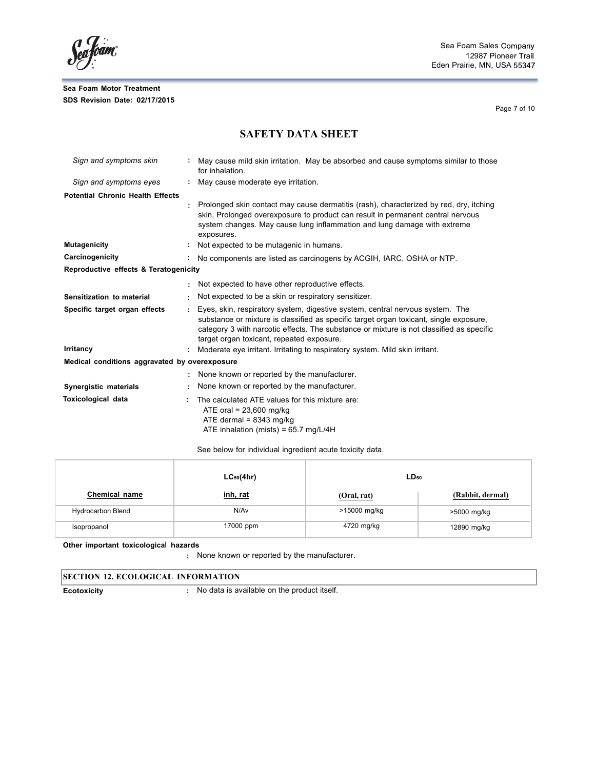Seafoam

Page 7 of 10

## **SAFETY DATA SHEET**

| Sign and symptoms skin                        | May cause mild skin irritation. May be absorbed and cause symptoms similar to those<br>for inhalation.                                                                                                                                                                                                           |
|-----------------------------------------------|------------------------------------------------------------------------------------------------------------------------------------------------------------------------------------------------------------------------------------------------------------------------------------------------------------------|
| Sign and symptoms eyes                        | May cause moderate eye irritation.                                                                                                                                                                                                                                                                               |
| <b>Potential Chronic Health Effects</b>       |                                                                                                                                                                                                                                                                                                                  |
|                                               | Prolonged skin contact may cause dermatitis (rash), characterized by red, dry, itching<br>skin. Prolonged overexposure to product can result in permanent central nervous<br>system changes. May cause lung inflammation and lung damage with extreme<br>exposures.                                              |
| <b>Mutagenicity</b>                           | Not expected to be mutagenic in humans.                                                                                                                                                                                                                                                                          |
| Carcinogenicity                               | No components are listed as carcinogens by ACGIH, IARC, OSHA or NTP.                                                                                                                                                                                                                                             |
| Reproductive effects & Teratogenicity         |                                                                                                                                                                                                                                                                                                                  |
|                                               | Not expected to have other reproductive effects.                                                                                                                                                                                                                                                                 |
| Sensitization to material                     | Not expected to be a skin or respiratory sensitizer.                                                                                                                                                                                                                                                             |
| Specific target organ effects                 | Eyes, skin, respiratory system, digestive system, central nervous system. The<br>substance or mixture is classified as specific target organ toxicant, single exposure,<br>category 3 with narcotic effects. The substance or mixture is not classified as specific<br>target organ toxicant, repeated exposure. |
| Irritancy                                     | Moderate eye irritant. Irritating to respiratory system. Mild skin irritant.                                                                                                                                                                                                                                     |
| Medical conditions aggravated by overexposure |                                                                                                                                                                                                                                                                                                                  |
|                                               | None known or reported by the manufacturer.                                                                                                                                                                                                                                                                      |
| Synergistic materials                         | None known or reported by the manufacturer.                                                                                                                                                                                                                                                                      |
| <b>Toxicological data</b>                     | The calculated ATE values for this mixture are:<br>ATE oral = $23,600$ mg/kg<br>ATE dermal = $8343$ mg/kg<br>ATE inhalation (mists) = $65.7$ mg/L/4H                                                                                                                                                             |

See below for individual ingredient acute toxicity data.

|                   | $LC_{50}(4hr)$ | $LD_{50}$    |                  |  |
|-------------------|----------------|--------------|------------------|--|
| Chemical name     | inh, rat       | (Oral, rat)  | (Rabbit, dermal) |  |
| Hydrocarbon Blend | N/Av           | >15000 mg/kg | >5000 mg/kg      |  |
| Isopropanol       | 17000 ppm      | 4720 mg/kg   | 12890 mg/kg      |  |

**Other important toxicologica**l **hazards**

**:** None known or reported by the manufacturer.

**Ecotoxicity :** No data is available on the product itself.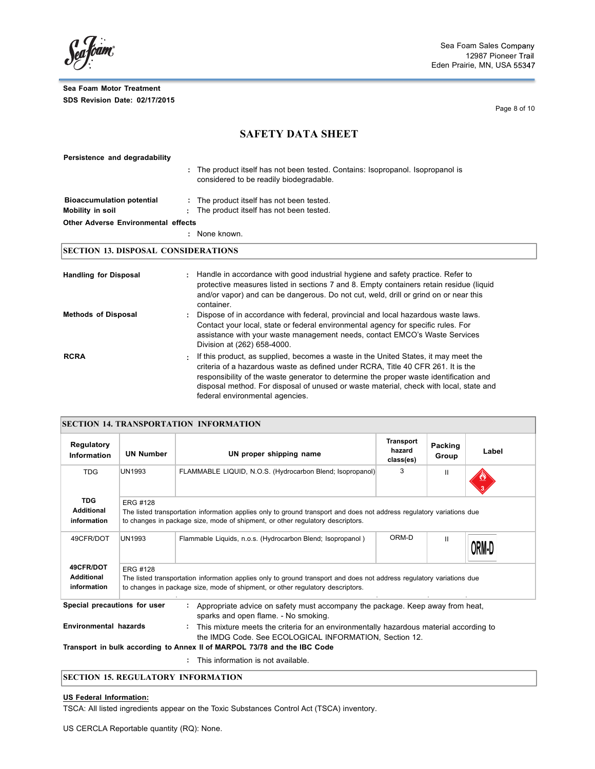Seafoam

Page 8 of 10

## **SAFETY DATA SHEET**

| Persistence and degradability              |    |                                                                                                                          |
|--------------------------------------------|----|--------------------------------------------------------------------------------------------------------------------------|
|                                            | ÷  | The product itself has not been tested. Contains: Isopropanol. Isopropanol is<br>considered to be readily biodegradable. |
| <b>Bioaccumulation potential</b>           |    | : The product itself has not been tested.                                                                                |
| Mobility in soil                           | ÷. | The product itself has not been tested.                                                                                  |
| <b>Other Adverse Environmental effects</b> |    |                                                                                                                          |
|                                            | ۰. | None known.                                                                                                              |
|                                            |    |                                                                                                                          |

## **SECTION 13. DISPOSAL CONSIDERATIONS**

| <b>Handling for Disposal</b> | : Handle in accordance with good industrial hygiene and safety practice. Refer to<br>protective measures listed in sections 7 and 8. Empty containers retain residue (liquid<br>and/or vapor) and can be dangerous. Do not cut, weld, drill or grind on or near this<br>container.                                                                                                               |
|------------------------------|--------------------------------------------------------------------------------------------------------------------------------------------------------------------------------------------------------------------------------------------------------------------------------------------------------------------------------------------------------------------------------------------------|
| <b>Methods of Disposal</b>   | Dispose of in accordance with federal, provincial and local hazardous waste laws.<br>Contact your local, state or federal environmental agency for specific rules. For<br>assistance with your waste management needs, contact EMCO's Waste Services<br>Division at (262) 658-4000.                                                                                                              |
| <b>RCRA</b>                  | . If this product, as supplied, becomes a waste in the United States, it may meet the<br>criteria of a hazardous waste as defined under RCRA. Title 40 CFR 261. It is the<br>responsibility of the waste generator to determine the proper waste identification and<br>disposal method. For disposal of unused or waste material, check with local, state and<br>federal environmental agencies. |

| <b>SECTION 14. TRANSPORTATION INFORMATION</b>  |                                                                                                                                                                                                                            |                                                                                                                                                                                                         |                                         |                  |       |
|------------------------------------------------|----------------------------------------------------------------------------------------------------------------------------------------------------------------------------------------------------------------------------|---------------------------------------------------------------------------------------------------------------------------------------------------------------------------------------------------------|-----------------------------------------|------------------|-------|
| Regulatory<br><b>Information</b>               | <b>UN Number</b>                                                                                                                                                                                                           | UN proper shipping name                                                                                                                                                                                 | <b>Transport</b><br>hazard<br>class(es) | Packing<br>Group | Label |
| <b>TDG</b>                                     | UN1993                                                                                                                                                                                                                     | FLAMMABLE LIQUID, N.O.S. (Hydrocarbon Blend; Isopropanol)                                                                                                                                               | 3                                       | $\mathbf{H}$     |       |
| <b>TDG</b><br><b>Additional</b><br>information | <b>ERG #128</b>                                                                                                                                                                                                            | The listed transportation information applies only to ground transport and does not address regulatory variations due<br>to changes in package size, mode of shipment, or other regulatory descriptors. |                                         |                  |       |
| 49CFR/DOT                                      | UN1993                                                                                                                                                                                                                     | Flammable Liquids, n.o.s. (Hydrocarbon Blend; Isopropanol)                                                                                                                                              | ORM-D                                   | $\mathbf{I}$     | ORM-I |
| 49CFR/DOT<br><b>Additional</b><br>information  | <b>ERG #128</b><br>The listed transportation information applies only to ground transport and does not address regulatory variations due<br>to changes in package size, mode of shipment, or other regulatory descriptors. |                                                                                                                                                                                                         |                                         |                  |       |
| Special precautions for user                   |                                                                                                                                                                                                                            | Appropriate advice on safety must accompany the package. Keep away from heat,<br>sparks and open flame. - No smoking.                                                                                   |                                         |                  |       |
| <b>Environmental hazards</b>                   |                                                                                                                                                                                                                            | This mixture meets the criteria for an environmentally hazardous material according to<br>the IMDG Code. See ECOLOGICAL INFORMATION, Section 12.                                                        |                                         |                  |       |
|                                                |                                                                                                                                                                                                                            | Transport in bulk according to Annex II of MARPOL 73/78 and the IBC Code<br>: This information is not available.                                                                                        |                                         |                  |       |

### **SECTION 15. REGULATORY INFORMATION**

### **US Federal Information:**

TSCA: All listed ingredients appear on the Toxic Substances Control Act (TSCA) inventory.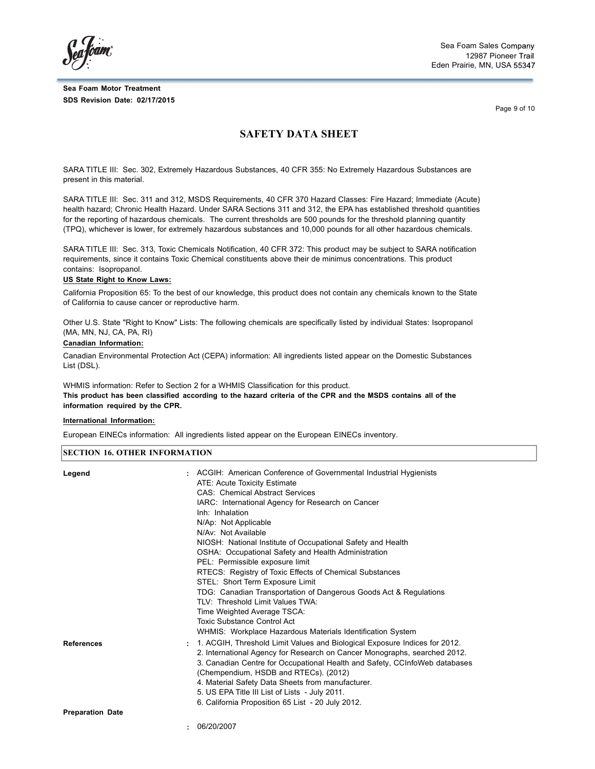*<u>... Koam</u>* 

Sea Foam Sales 12987 Pioneer Eden Prairie, MN, USA

Page 9 of 10

## **SAFETY DATA SHEET**

SARA TITLE III: Sec. 302, Extremely Hazardous Substances, 40 CFR 355: No Extremely Hazardous Substances are present in this material.

SARA TITLE III: Sec. 311 and 312, MSDS Requirements, 40 CFR 370 Hazard Classes: Fire Hazard; Immediate (Acute) health hazard; Chronic Health Hazard. Under SARA Sections 311 and 312, the EPA has established threshold quantities for the reporting of hazardous chemicals. The current thresholds are 500 pounds for the threshold planning quantity (TPQ), whichever is lower, for extremely hazardous substances and 10,000 pounds for all other hazardous chemicals.

SARA TITLE III: Sec. 313, Toxic Chemicals Notification, 40 CFR 372: This product may be subject to SARA notification requirements, since it contains Toxic Chemical constituents above their de minimus concentrations. This product contains: Isopropanol.

#### **US State Right to Know Laws:**

California Proposition 65: To the best of our knowledge, this product does not contain any chemicals known to the State of California to cause cancer or reproductive harm.

Other U.S. State "Right to Know" Lists: The following chemicals are specifically listed by individual States: Isopropanol (MA, MN, NJ, CA, PA, RI)

#### **Canadian Information:**

Canadian Environmental Protection Act (CEPA) information: All ingredients listed appear on the Domestic Substances List (DSL).

WHMIS information: Refer to Section 2 for a WHMIS Classification for this product. This product has been classified according to the hazard criteria of the CPR and the MSDS contains all of the **information required by the CPR.**

#### **International Information:**

European EINECs information: All ingredients listed appear on the European EINECs inventory.

#### **SECTION 16. OTHER INFORMATION**

| Legend                  | : ACGIH: American Conference of Governmental Industrial Hygienists<br>ATE: Acute Toxicity Estimate<br><b>CAS: Chemical Abstract Services</b><br>IARC: International Agency for Research on Cancer<br>Inh: Inhalation<br>N/Ap: Not Applicable<br>N/Av: Not Available<br>NIOSH: National Institute of Occupational Safety and Health<br>OSHA: Occupational Safety and Health Administration<br>PEL: Permissible exposure limit<br>RTECS: Registry of Toxic Effects of Chemical Substances<br>STEL: Short Term Exposure Limit<br>TDG: Canadian Transportation of Dangerous Goods Act & Regulations<br>TLV: Threshold Limit Values TWA:<br>Time Weighted Average TSCA:<br><b>Toxic Substance Control Act</b><br>WHMIS: Workplace Hazardous Materials Identification System |
|-------------------------|------------------------------------------------------------------------------------------------------------------------------------------------------------------------------------------------------------------------------------------------------------------------------------------------------------------------------------------------------------------------------------------------------------------------------------------------------------------------------------------------------------------------------------------------------------------------------------------------------------------------------------------------------------------------------------------------------------------------------------------------------------------------|
| <b>References</b>       | : 1. ACGIH, Threshold Limit Values and Biological Exposure Indices for 2012.<br>2. International Agency for Research on Cancer Monographs, searched 2012.<br>3. Canadian Centre for Occupational Health and Safety, CCInfoWeb databases<br>(Chempendium, HSDB and RTECs). (2012)<br>4. Material Safety Data Sheets from manufacturer.<br>5. US EPA Title III List of Lists - July 2011.<br>6. California Proposition 65 List - 20 July 2012.                                                                                                                                                                                                                                                                                                                           |
| <b>Preparation Date</b> |                                                                                                                                                                                                                                                                                                                                                                                                                                                                                                                                                                                                                                                                                                                                                                        |